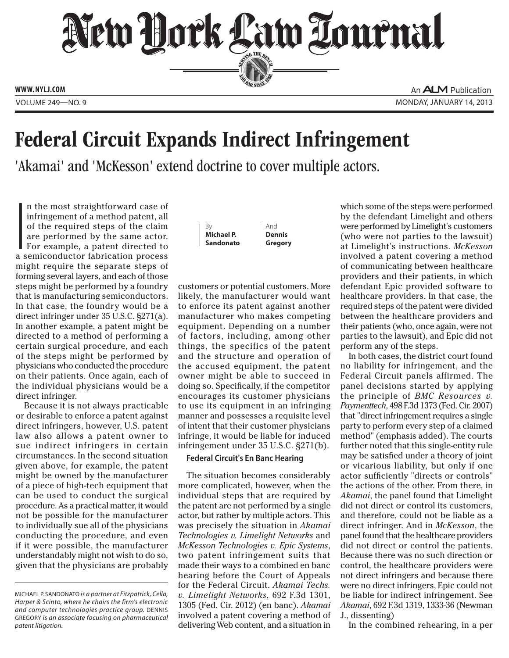New Dock Law Lournal SERVING THE BET **ED BAR SINCE 1888** 

**www. NYLJ.com**

An **ALM** Publication VOLUME 249—NO. 9 MONDAY, JANUARY 14, 2013

## Federal Circuit Expands Indirect Infringement

'Akamai' and 'McKesson' extend doctrine to cover multiple actors.

 $\begin{array}{c} \n\end{array}$ n the most straightforward case of infringement of a method patent, all of the required steps of the claim are performed by the same actor. For example, a patent directed to a semiconductor fabrication process might require the separate steps of forming several layers, and each of those steps might be performed by a foundry that is manufacturing semiconductors. In that case, the foundry would be a direct infringer under 35 U.S.C. §271(a). In another example, a patent might be directed to a method of performing a certain surgical procedure, and each of the steps might be performed by physicians who conducted the procedure on their patients. Once again, each of the individual physicians would be a direct infringer.

Because it is not always practicable or desirable to enforce a patent against direct infringers, however, U.S. patent law also allows a patent owner to sue indirect infringers in certain circumstances. In the second situation given above, for example, the patent might be owned by the manufacturer of a piece of high-tech equipment that can be used to conduct the surgical procedure. As a practical matter, it would not be possible for the manufacturer to individually sue all of the physicians conducting the procedure, and even if it were possible, the manufacturer understandably might not wish to do so, given that the physicians are probably



customers or potential customers. More likely, the manufacturer would want to enforce its patent against another manufacturer who makes competing equipment. Depending on a number of factors, including, among other things, the specifics of the patent and the structure and operation of the accused equipment, the patent owner might be able to succeed in doing so. Specifically, if the competitor encourages its customer physicians to use its equipment in an infringing manner and possesses a requisite level of intent that their customer physicians infringe, it would be liable for induced infringement under 35 U.S.C. §271(b).

And **Dennis Gregory**

## **Federal Circuit's En Banc Hearing**

The situation becomes considerably more complicated, however, when the individual steps that are required by the patent are not performed by a single actor, but rather by multiple actors. This was precisely the situation in *Akamai Technologies v. Limelight Networks* and *McKesson Technologies v. Epic Systems*, two patent infringement suits that made their ways to a combined en banc hearing before the Court of Appeals for the Federal Circuit. *Akamai Techs. v. Limelight Networks*, 692 F.3d 1301, 1305 (Fed. Cir. 2012) (en banc). *Akamai* involved a patent covering a method of delivering Web content, and a situation in

which some of the steps were performed by the defendant Limelight and others were performed by Limelight's customers (who were not parties to the lawsuit) at Limelight's instructions. *McKesson* involved a patent covering a method of communicating between healthcare providers and their patients, in which defendant Epic provided software to healthcare providers. In that case, the required steps of the patent were divided between the healthcare providers and their patients (who, once again, were not parties to the lawsuit), and Epic did not perform any of the steps.

In both cases, the district court found no liability for infringement, and the Federal Circuit panels affirmed. The panel decisions started by applying the principle of *BMC Resources v. Paymenttech*, 498 F.3d 1373 (Fed. Cir. 2007) that "direct infringement requires a single party to perform every step of a claimed method" (emphasis added). The courts further noted that this single-entity rule may be satisfied under a theory of joint or vicarious liability, but only if one actor sufficiently "directs or controls" the actions of the other. From there, in *Akamai*, the panel found that Limelight did not direct or control its customers, and therefore, could not be liable as a direct infringer. And in *McKesson*, the panel found that the healthcare providers did not direct or control the patients. Because there was no such direction or control, the healthcare providers were not direct infringers and because there were no direct infringers, Epic could not be liable for indirect infringement. See *Akamai*, 692 F.3d 1319, 1333-36 (Newman J., dissenting)

In the combined rehearing, in a per

Michael P. Sandonato *is a partner at Fitzpatrick, Cella, Harper & Scinto, where he chairs the firm's electronic and computer technologies practice group.* Dennis Gregory *is an associate focusing on pharmaceutical patent litigation.*